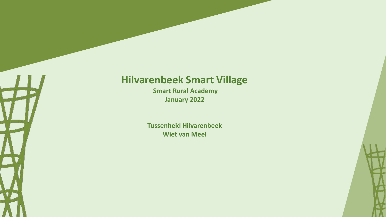## **Hilvarenbeek Smart Village**

**Smart Rural Academy January 2022**

**Tussenheid Hilvarenbeek Wiet van Meel**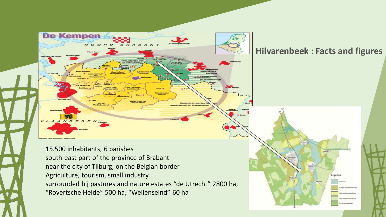

### **Hilvarenbeek : Facts and figures**

Legenda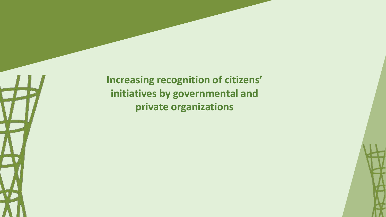**Increasing recognition of citizens' initiatives by governmental and private organizations**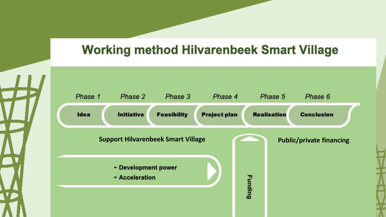# **Working method Hilvarenbeek Smart Village**

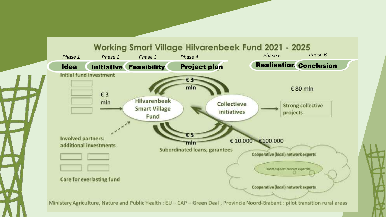

**Working Smart Village Hilvarenbeek Fund 2021 - 2025** 

Ministery Agriculture, Nature and Public Health: EU - CAP - Green Deal, Provincie Noord-Brabant: pilot transition rural areas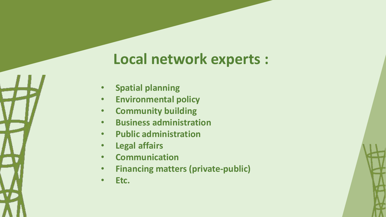# **Local network experts :**

- **Spatial planning**
- **Environmental policy**
- **Community building**
- **Business administration**
- **Public administration**
- **Legal affairs**
- **Communication**
- **Financing matters (private-public)**
- **Etc.**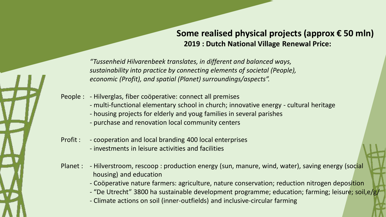### **Some realised physical projects (approx € 50 mln) 2019 : Dutch National Village Renewal Price:**

*"Tussenheid Hilvarenbeek translates, in different and balanced ways, sustainability into practice by connecting elements of societal (People), economic (Profit), and spatial (Planet) surroundings/aspects".* 

People : - Hilverglas, fiber coöperative: connect all premises

- multi-functional elementary school in church; innovative energy cultural heritage
- housing projects for elderly and youg families in several parishes
- purchase and renovation local community centers
- Profit : cooperation and local branding 400 local enterprises - investments in leisure activities and facilities
- Planet : Hilverstroom, rescoop : production energy (sun, manure, wind, water), saving energy (social housing) and education
	- Coöperative nature farmers: agriculture, nature conservation; reduction nitrogen deposition
	- "De Utrecht" 3800 ha sustainable development programme; education; farming; leisure; soil,e/g/
	- Climate actions on soil (inner-outfields) and inclusive-circular farming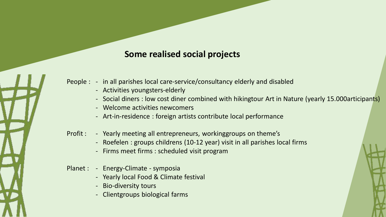### **Some realised social projects**

People : - in all parishes local care-service/consultancy elderly and disabled

- Activities youngsters-elderly
- Social diners : low cost diner combined with hikingtour Art in Nature (yearly 15.000articipants)
- Welcome activities newcomers
- Art-in-residence : foreign artists contribute local performance
- Profit : Yearly meeting all entrepreneurs, workinggroups on theme's
	- Roefelen : groups childrens (10-12 year) visit in all parishes local firms
	- Firms meet firms : scheduled visit program
- Planet : Energy-Climate symposia
	- Yearly local Food & Climate festival
	- Bio-diversity tours
	- Clientgroups biological farms